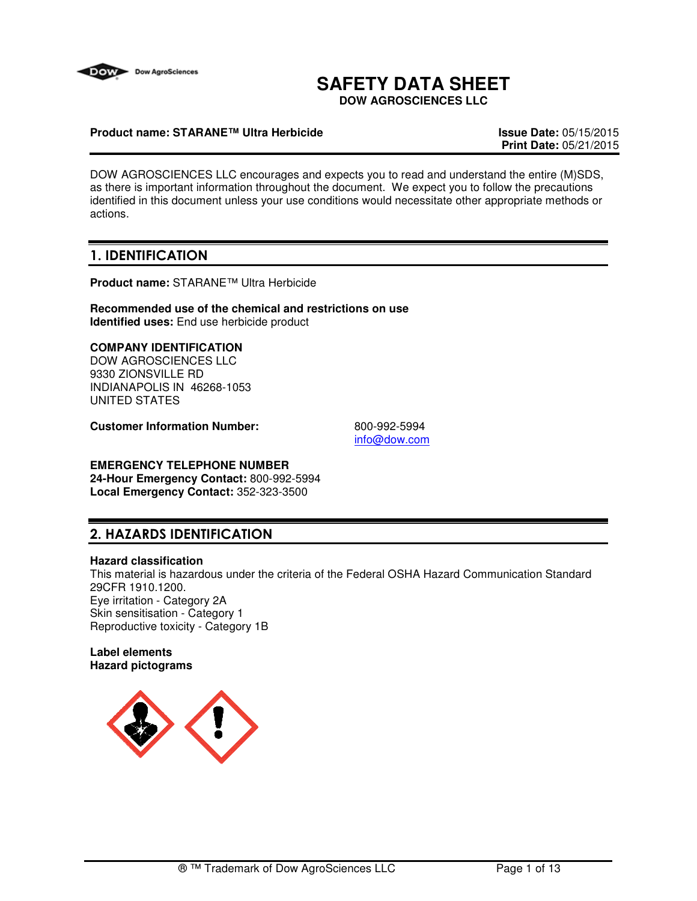

# **SAFETY DATA SHEET**

**DOW AGROSCIENCES LLC**

### **Product name: STARANE™ Ultra Herbicide Issue Date:** 05/15/2015

**Print Date:** 05/21/2015

DOW AGROSCIENCES LLC encourages and expects you to read and understand the entire (M)SDS, as there is important information throughout the document. We expect you to follow the precautions identified in this document unless your use conditions would necessitate other appropriate methods or actions.

# 1. IDENTIFICATION

**Product name:** STARANE™ Ultra Herbicide

**Recommended use of the chemical and restrictions on use Identified uses:** End use herbicide product

# **COMPANY IDENTIFICATION**

DOW AGROSCIENCES LLC 9330 ZIONSVILLE RD INDIANAPOLIS IN 46268-1053 UNITED STATES

**Customer Information Number:** 800-992-5994

info@dow.com

#### **EMERGENCY TELEPHONE NUMBER 24-Hour Emergency Contact:** 800-992-5994 **Local Emergency Contact:** 352-323-3500

# 2. HAZARDS IDENTIFICATION

### **Hazard classification**

This material is hazardous under the criteria of the Federal OSHA Hazard Communication Standard 29CFR 1910.1200. Eye irritation - Category 2A Skin sensitisation - Category 1 Reproductive toxicity - Category 1B

**Label elements Hazard pictograms**

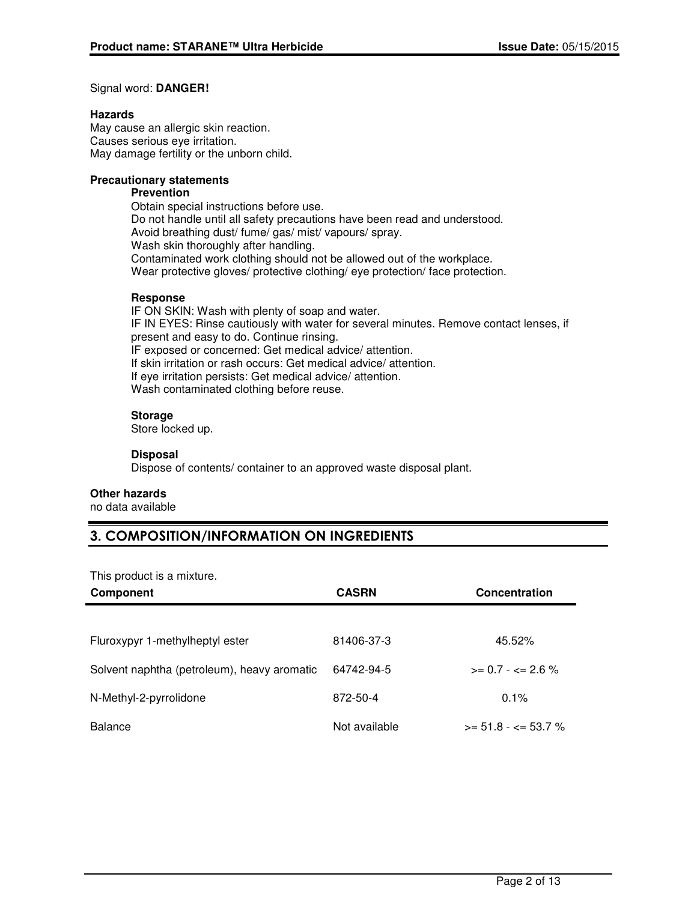### Signal word: **DANGER!**

### **Hazards**

May cause an allergic skin reaction. Causes serious eye irritation. May damage fertility or the unborn child.

## **Precautionary statements**

### **Prevention**

Obtain special instructions before use. Do not handle until all safety precautions have been read and understood. Avoid breathing dust/ fume/ gas/ mist/ vapours/ spray. Wash skin thoroughly after handling. Contaminated work clothing should not be allowed out of the workplace. Wear protective gloves/ protective clothing/ eye protection/ face protection.

### **Response**

IF ON SKIN: Wash with plenty of soap and water. IF IN EYES: Rinse cautiously with water for several minutes. Remove contact lenses, if present and easy to do. Continue rinsing. IF exposed or concerned: Get medical advice/ attention. If skin irritation or rash occurs: Get medical advice/ attention. If eye irritation persists: Get medical advice/ attention. Wash contaminated clothing before reuse.

### **Storage**

Store locked up.

### **Disposal**

Dispose of contents/ container to an approved waste disposal plant.

### **Other hazards**

no data available

# 3. COMPOSITION/INFORMATION ON INGREDIENTS

This product is a mixture.

| Component                                   | <b>CASRN</b>  | <b>Concentration</b>         |
|---------------------------------------------|---------------|------------------------------|
|                                             |               |                              |
| Fluroxypyr 1-methylheptyl ester             | 81406-37-3    | 45.52%                       |
| Solvent naphtha (petroleum), heavy aromatic | 64742-94-5    | $>= 0.7 - \epsilon = 2.6 \%$ |
| N-Methyl-2-pyrrolidone                      | 872-50-4      | 0.1%                         |
| Balance                                     | Not available | $>= 51.8 - \le 53.7 \%$      |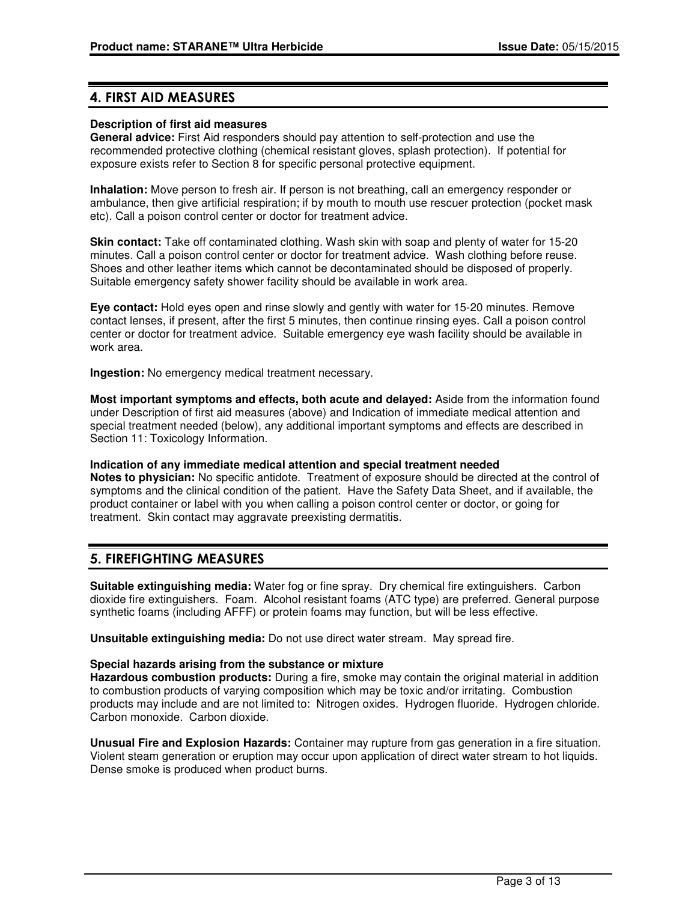# 4. FIRST AID MEASURES

### **Description of first aid measures**

**General advice:** First Aid responders should pay attention to self-protection and use the recommended protective clothing (chemical resistant gloves, splash protection). If potential for exposure exists refer to Section 8 for specific personal protective equipment.

**Inhalation:** Move person to fresh air. If person is not breathing, call an emergency responder or ambulance, then give artificial respiration; if by mouth to mouth use rescuer protection (pocket mask etc). Call a poison control center or doctor for treatment advice.

**Skin contact:** Take off contaminated clothing. Wash skin with soap and plenty of water for 15-20 minutes. Call a poison control center or doctor for treatment advice. Wash clothing before reuse. Shoes and other leather items which cannot be decontaminated should be disposed of properly. Suitable emergency safety shower facility should be available in work area.

**Eye contact:** Hold eyes open and rinse slowly and gently with water for 15-20 minutes. Remove contact lenses, if present, after the first 5 minutes, then continue rinsing eyes. Call a poison control center or doctor for treatment advice. Suitable emergency eye wash facility should be available in work area.

**Ingestion:** No emergency medical treatment necessary.

**Most important symptoms and effects, both acute and delayed:** Aside from the information found under Description of first aid measures (above) and Indication of immediate medical attention and special treatment needed (below), any additional important symptoms and effects are described in Section 11: Toxicology Information.

**Indication of any immediate medical attention and special treatment needed Notes to physician:** No specific antidote. Treatment of exposure should be directed at the control of symptoms and the clinical condition of the patient. Have the Safety Data Sheet, and if available, the product container or label with you when calling a poison control center or doctor, or going for treatment. Skin contact may aggravate preexisting dermatitis.

# 5. FIREFIGHTING MEASURES

**Suitable extinguishing media:** Water fog or fine spray. Dry chemical fire extinguishers. Carbon dioxide fire extinguishers. Foam. Alcohol resistant foams (ATC type) are preferred. General purpose synthetic foams (including AFFF) or protein foams may function, but will be less effective.

**Unsuitable extinguishing media:** Do not use direct water stream. May spread fire.

### **Special hazards arising from the substance or mixture**

**Hazardous combustion products:** During a fire, smoke may contain the original material in addition to combustion products of varying composition which may be toxic and/or irritating. Combustion products may include and are not limited to: Nitrogen oxides. Hydrogen fluoride. Hydrogen chloride. Carbon monoxide. Carbon dioxide.

**Unusual Fire and Explosion Hazards:** Container may rupture from gas generation in a fire situation. Violent steam generation or eruption may occur upon application of direct water stream to hot liquids. Dense smoke is produced when product burns.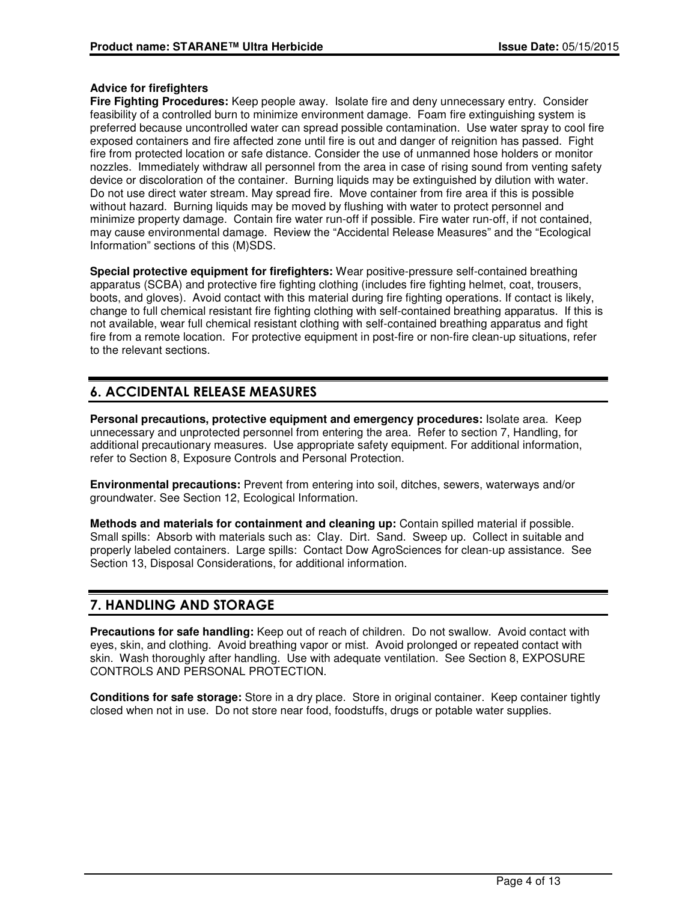### **Advice for firefighters**

**Fire Fighting Procedures:** Keep people away. Isolate fire and deny unnecessary entry. Consider feasibility of a controlled burn to minimize environment damage. Foam fire extinguishing system is preferred because uncontrolled water can spread possible contamination. Use water spray to cool fire exposed containers and fire affected zone until fire is out and danger of reignition has passed. Fight fire from protected location or safe distance. Consider the use of unmanned hose holders or monitor nozzles. Immediately withdraw all personnel from the area in case of rising sound from venting safety device or discoloration of the container. Burning liquids may be extinguished by dilution with water. Do not use direct water stream. May spread fire. Move container from fire area if this is possible without hazard. Burning liquids may be moved by flushing with water to protect personnel and minimize property damage. Contain fire water run-off if possible. Fire water run-off, if not contained, may cause environmental damage. Review the "Accidental Release Measures" and the "Ecological Information" sections of this (M)SDS.

**Special protective equipment for firefighters:** Wear positive-pressure self-contained breathing apparatus (SCBA) and protective fire fighting clothing (includes fire fighting helmet, coat, trousers, boots, and gloves). Avoid contact with this material during fire fighting operations. If contact is likely, change to full chemical resistant fire fighting clothing with self-contained breathing apparatus. If this is not available, wear full chemical resistant clothing with self-contained breathing apparatus and fight fire from a remote location. For protective equipment in post-fire or non-fire clean-up situations, refer to the relevant sections.

# 6. ACCIDENTAL RELEASE MEASURES

**Personal precautions, protective equipment and emergency procedures:** Isolate area. Keep unnecessary and unprotected personnel from entering the area. Refer to section 7, Handling, for additional precautionary measures. Use appropriate safety equipment. For additional information, refer to Section 8, Exposure Controls and Personal Protection.

**Environmental precautions:** Prevent from entering into soil, ditches, sewers, waterways and/or groundwater. See Section 12, Ecological Information.

**Methods and materials for containment and cleaning up:** Contain spilled material if possible. Small spills: Absorb with materials such as: Clay. Dirt. Sand. Sweep up. Collect in suitable and properly labeled containers. Large spills: Contact Dow AgroSciences for clean-up assistance. See Section 13, Disposal Considerations, for additional information.

# 7. HANDLING AND STORAGE

**Precautions for safe handling:** Keep out of reach of children. Do not swallow. Avoid contact with eyes, skin, and clothing. Avoid breathing vapor or mist. Avoid prolonged or repeated contact with skin. Wash thoroughly after handling. Use with adequate ventilation. See Section 8, EXPOSURE CONTROLS AND PERSONAL PROTECTION.

**Conditions for safe storage:** Store in a dry place. Store in original container. Keep container tightly closed when not in use. Do not store near food, foodstuffs, drugs or potable water supplies.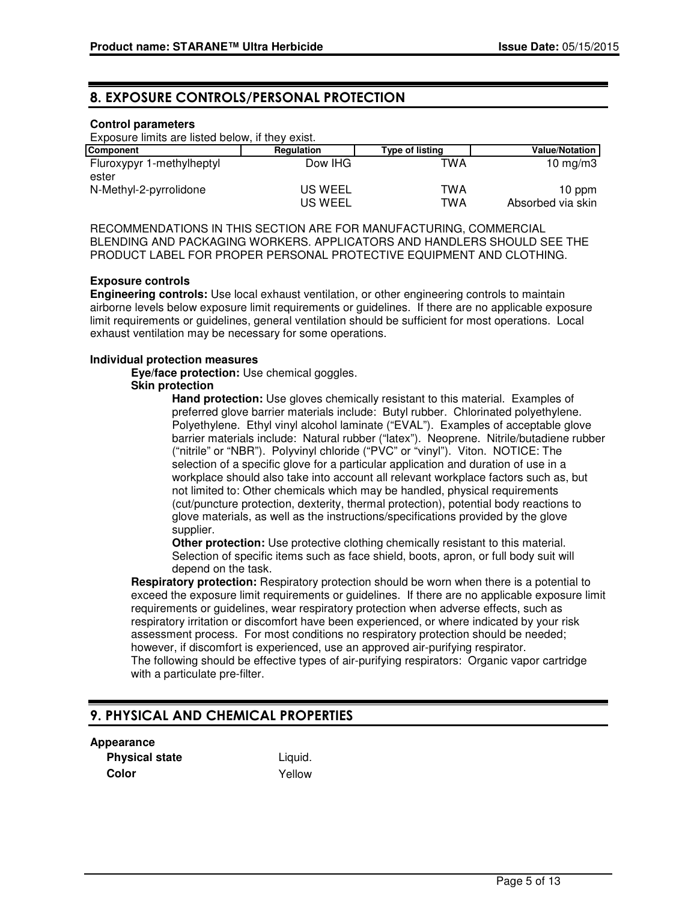# 8. EXPOSURE CONTROLS/PERSONAL PROTECTION

### **Control parameters**

Exposure limits are listed below, if they exist.

| <b>Component</b>                   | Regulation         | <b>Type of listing</b> | <b>Value/Notation</b>       |
|------------------------------------|--------------------|------------------------|-----------------------------|
| Fluroxypyr 1-methylheptyl<br>ester | Dow IHG            | TWA                    | 10 mg/m $3$                 |
| N-Methyl-2-pyrrolidone             | US WEEL<br>US WEEL | TWA<br>TWA             | 10 ppm<br>Absorbed via skin |

RECOMMENDATIONS IN THIS SECTION ARE FOR MANUFACTURING, COMMERCIAL BLENDING AND PACKAGING WORKERS. APPLICATORS AND HANDLERS SHOULD SEE THE PRODUCT LABEL FOR PROPER PERSONAL PROTECTIVE EQUIPMENT AND CLOTHING.

### **Exposure controls**

**Engineering controls:** Use local exhaust ventilation, or other engineering controls to maintain airborne levels below exposure limit requirements or guidelines. If there are no applicable exposure limit requirements or guidelines, general ventilation should be sufficient for most operations. Local exhaust ventilation may be necessary for some operations.

#### **Individual protection measures**

**Eye/face protection:** Use chemical goggles.

#### **Skin protection**

**Hand protection:** Use gloves chemically resistant to this material. Examples of preferred glove barrier materials include: Butyl rubber. Chlorinated polyethylene. Polyethylene. Ethyl vinyl alcohol laminate ("EVAL"). Examples of acceptable glove barrier materials include: Natural rubber ("latex"). Neoprene. Nitrile/butadiene rubber ("nitrile" or "NBR"). Polyvinyl chloride ("PVC" or "vinyl"). Viton. NOTICE: The selection of a specific glove for a particular application and duration of use in a workplace should also take into account all relevant workplace factors such as, but not limited to: Other chemicals which may be handled, physical requirements (cut/puncture protection, dexterity, thermal protection), potential body reactions to glove materials, as well as the instructions/specifications provided by the glove supplier.

**Other protection:** Use protective clothing chemically resistant to this material. Selection of specific items such as face shield, boots, apron, or full body suit will depend on the task.

**Respiratory protection:** Respiratory protection should be worn when there is a potential to exceed the exposure limit requirements or guidelines. If there are no applicable exposure limit requirements or guidelines, wear respiratory protection when adverse effects, such as respiratory irritation or discomfort have been experienced, or where indicated by your risk assessment process. For most conditions no respiratory protection should be needed; however, if discomfort is experienced, use an approved air-purifying respirator. The following should be effective types of air-purifying respirators: Organic vapor cartridge with a particulate pre-filter.

# 9. PHYSICAL AND CHEMICAL PROPERTIES

#### **Appearance**

**Physical state** Liquid. **Color** Yellow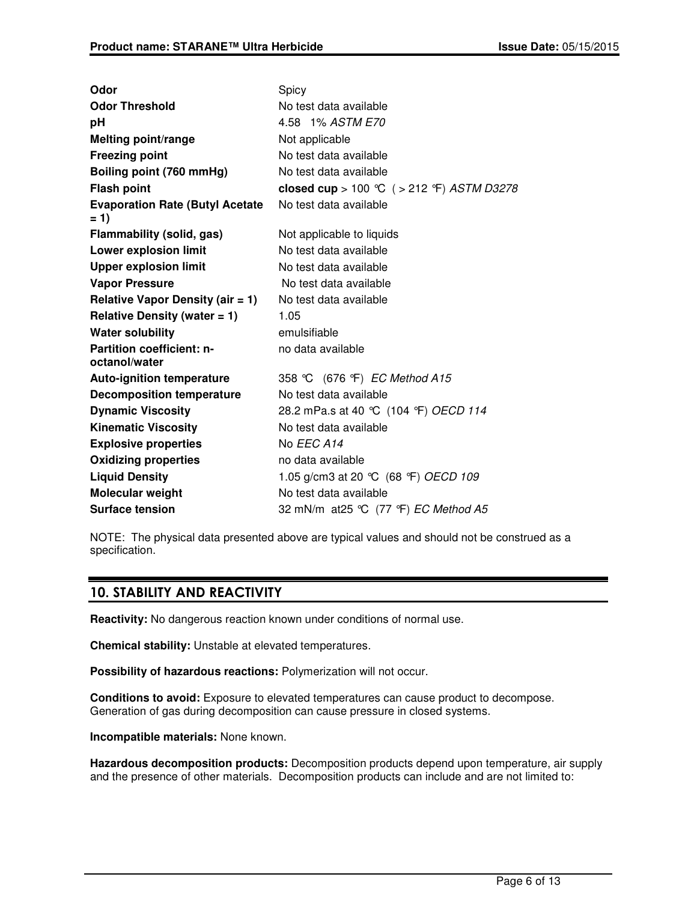| Odor                                              | Spicy                                      |
|---------------------------------------------------|--------------------------------------------|
| <b>Odor Threshold</b>                             | No test data available                     |
| рH                                                | 4.58 1% ASTM E70                           |
| <b>Melting point/range</b>                        | Not applicable                             |
| <b>Freezing point</b>                             | No test data available                     |
| Boiling point (760 mmHg)                          | No test data available                     |
| <b>Flash point</b>                                | closed cup > 100 °C ( > 212 °F) ASTM D3278 |
| <b>Evaporation Rate (Butyl Acetate</b><br>$= 1$   | No test data available                     |
| Flammability (solid, gas)                         | Not applicable to liquids                  |
| <b>Lower explosion limit</b>                      | No test data available                     |
| <b>Upper explosion limit</b>                      | No test data available                     |
| <b>Vapor Pressure</b>                             | No test data available                     |
| Relative Vapor Density (air $= 1$ )               | No test data available                     |
| Relative Density (water $= 1$ )                   | 1.05                                       |
| <b>Water solubility</b>                           | emulsifiable                               |
| <b>Partition coefficient: n-</b><br>octanol/water | no data available                          |
| <b>Auto-ignition temperature</b>                  | 358 °C (676 °F) EC Method A15              |
| <b>Decomposition temperature</b>                  | No test data available                     |
| <b>Dynamic Viscosity</b>                          | 28.2 mPa.s at 40 °C (104 °F) OECD 114      |
| <b>Kinematic Viscosity</b>                        | No test data available                     |
| <b>Explosive properties</b>                       | No EEC A14                                 |
| <b>Oxidizing properties</b>                       | no data available                          |
| <b>Liquid Density</b>                             | 1.05 g/cm3 at 20 °C (68 °F) OECD 109       |
| Molecular weight                                  | No test data available                     |
| <b>Surface tension</b>                            | 32 mN/m at 25 °C (77 °F) EC Method A5      |

NOTE: The physical data presented above are typical values and should not be construed as a specification.

# 10. STABILITY AND REACTIVITY

**Reactivity:** No dangerous reaction known under conditions of normal use.

**Chemical stability:** Unstable at elevated temperatures.

**Possibility of hazardous reactions:** Polymerization will not occur.

**Conditions to avoid:** Exposure to elevated temperatures can cause product to decompose. Generation of gas during decomposition can cause pressure in closed systems.

**Incompatible materials:** None known.

**Hazardous decomposition products:** Decomposition products depend upon temperature, air supply and the presence of other materials. Decomposition products can include and are not limited to: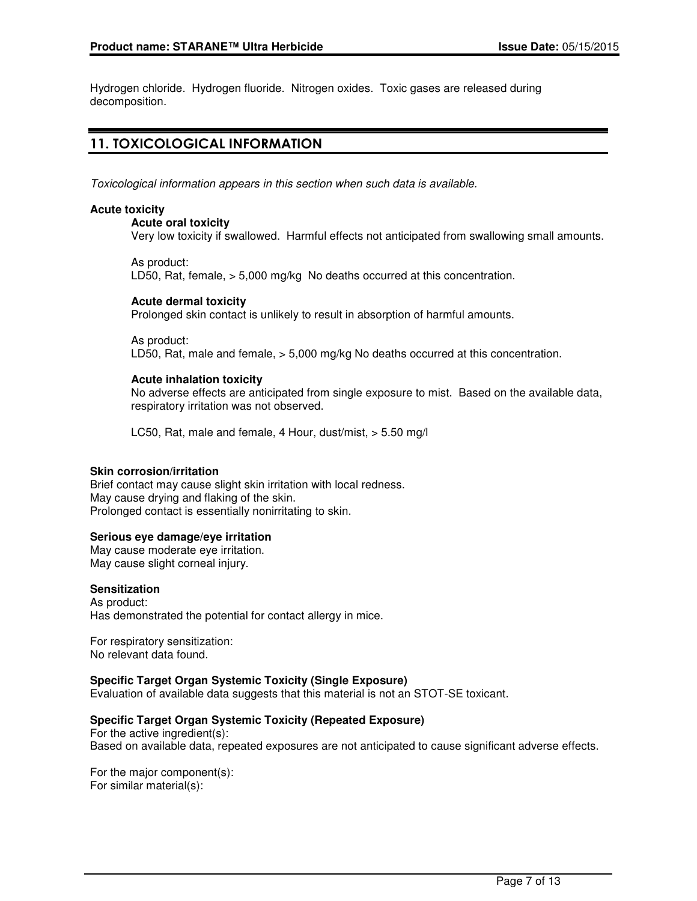Hydrogen chloride. Hydrogen fluoride. Nitrogen oxides. Toxic gases are released during decomposition.

# 11. TOXICOLOGICAL INFORMATION

Toxicological information appears in this section when such data is available.

### **Acute toxicity**

#### **Acute oral toxicity**

Very low toxicity if swallowed. Harmful effects not anticipated from swallowing small amounts.

As product: LD50, Rat, female, > 5,000 mg/kg No deaths occurred at this concentration.

### **Acute dermal toxicity**

Prolonged skin contact is unlikely to result in absorption of harmful amounts.

As product: LD50, Rat, male and female, > 5,000 mg/kg No deaths occurred at this concentration.

### **Acute inhalation toxicity**

No adverse effects are anticipated from single exposure to mist. Based on the available data, respiratory irritation was not observed.

LC50, Rat, male and female, 4 Hour, dust/mist, > 5.50 mg/l

### **Skin corrosion/irritation**

Brief contact may cause slight skin irritation with local redness. May cause drying and flaking of the skin. Prolonged contact is essentially nonirritating to skin.

### **Serious eye damage/eye irritation**

May cause moderate eye irritation. May cause slight corneal injury.

### **Sensitization**

As product: Has demonstrated the potential for contact allergy in mice.

For respiratory sensitization: No relevant data found.

### **Specific Target Organ Systemic Toxicity (Single Exposure)**

Evaluation of available data suggests that this material is not an STOT-SE toxicant.

### **Specific Target Organ Systemic Toxicity (Repeated Exposure)**

For the active ingredient(s): Based on available data, repeated exposures are not anticipated to cause significant adverse effects.

For the major component(s): For similar material(s):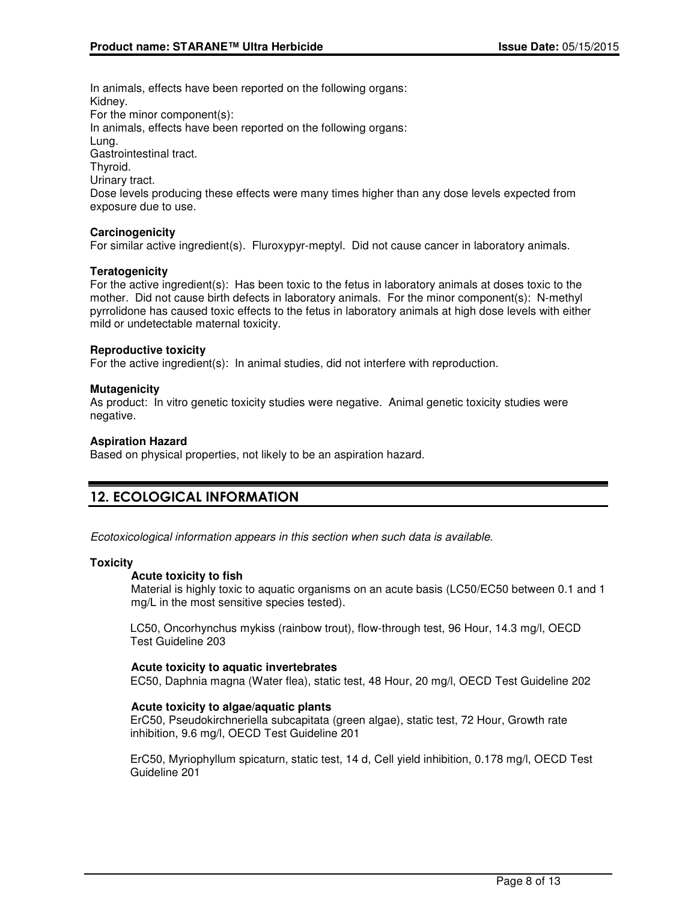In animals, effects have been reported on the following organs: Kidney. For the minor component(s): In animals, effects have been reported on the following organs: Lung. Gastrointestinal tract. Thyroid. Urinary tract. Dose levels producing these effects were many times higher than any dose levels expected from exposure due to use.

### **Carcinogenicity**

For similar active ingredient(s). Fluroxypyr-meptyl. Did not cause cancer in laboratory animals.

### **Teratogenicity**

For the active ingredient(s): Has been toxic to the fetus in laboratory animals at doses toxic to the mother. Did not cause birth defects in laboratory animals. For the minor component(s): N-methyl pyrrolidone has caused toxic effects to the fetus in laboratory animals at high dose levels with either mild or undetectable maternal toxicity.

### **Reproductive toxicity**

For the active ingredient(s): In animal studies, did not interfere with reproduction.

### **Mutagenicity**

As product: In vitro genetic toxicity studies were negative. Animal genetic toxicity studies were negative.

### **Aspiration Hazard**

Based on physical properties, not likely to be an aspiration hazard.

# 12. ECOLOGICAL INFORMATION

Ecotoxicological information appears in this section when such data is available.

### **Toxicity**

### **Acute toxicity to fish**

Material is highly toxic to aquatic organisms on an acute basis (LC50/EC50 between 0.1 and 1 mg/L in the most sensitive species tested).

LC50, Oncorhynchus mykiss (rainbow trout), flow-through test, 96 Hour, 14.3 mg/l, OECD Test Guideline 203

### **Acute toxicity to aquatic invertebrates**

EC50, Daphnia magna (Water flea), static test, 48 Hour, 20 mg/l, OECD Test Guideline 202

### **Acute toxicity to algae/aquatic plants**

ErC50, Pseudokirchneriella subcapitata (green algae), static test, 72 Hour, Growth rate inhibition, 9.6 mg/l, OECD Test Guideline 201

ErC50, Myriophyllum spicaturn, static test, 14 d, Cell yield inhibition, 0.178 mg/l, OECD Test Guideline 201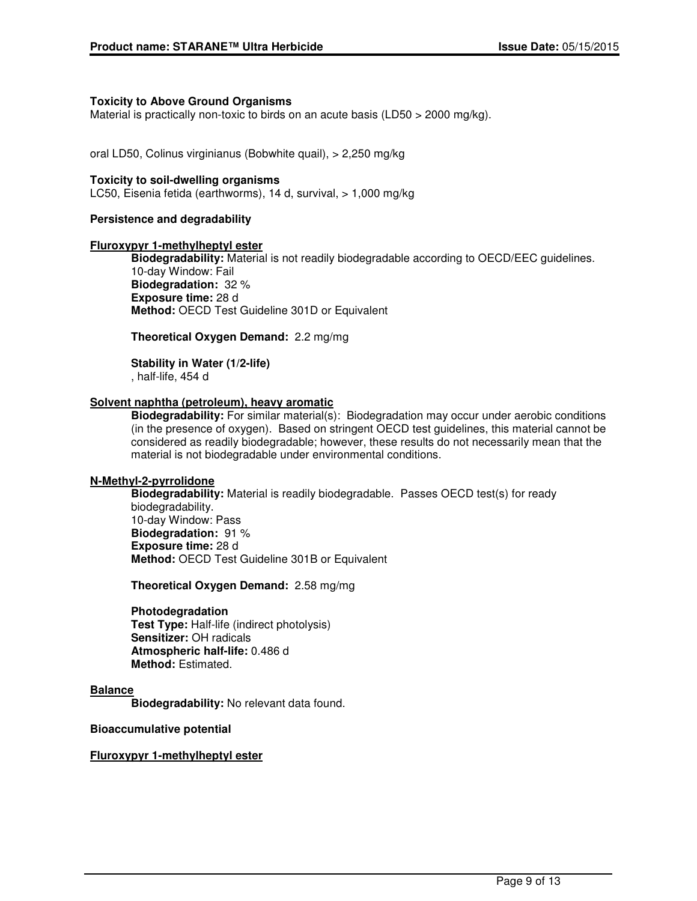### **Toxicity to Above Ground Organisms**

Material is practically non-toxic to birds on an acute basis (LD50 > 2000 mg/kg).

oral LD50, Colinus virginianus (Bobwhite quail), > 2,250 mg/kg

#### **Toxicity to soil-dwelling organisms**

LC50, Eisenia fetida (earthworms), 14 d, survival, > 1,000 mg/kg

#### **Persistence and degradability**

#### **Fluroxypyr 1-methylheptyl ester**

**Biodegradability:** Material is not readily biodegradable according to OECD/EEC guidelines. 10-day Window: Fail **Biodegradation:** 32 % **Exposure time:** 28 d **Method:** OECD Test Guideline 301D or Equivalent

**Theoretical Oxygen Demand:** 2.2 mg/mg

**Stability in Water (1/2-life)** , half-life, 454 d

#### **Solvent naphtha (petroleum), heavy aromatic**

**Biodegradability:** For similar material(s): Biodegradation may occur under aerobic conditions (in the presence of oxygen). Based on stringent OECD test guidelines, this material cannot be considered as readily biodegradable; however, these results do not necessarily mean that the material is not biodegradable under environmental conditions.

### **N-Methyl-2-pyrrolidone**

**Biodegradability:** Material is readily biodegradable. Passes OECD test(s) for ready biodegradability. 10-day Window: Pass **Biodegradation:** 91 % **Exposure time:** 28 d **Method:** OECD Test Guideline 301B or Equivalent

**Theoretical Oxygen Demand:** 2.58 mg/mg

#### **Photodegradation**

**Test Type:** Half-life (indirect photolysis) **Sensitizer:** OH radicals **Atmospheric half-life:** 0.486 d **Method:** Estimated.

#### **Balance**

**Biodegradability:** No relevant data found.

**Bioaccumulative potential**

### **Fluroxypyr 1-methylheptyl ester**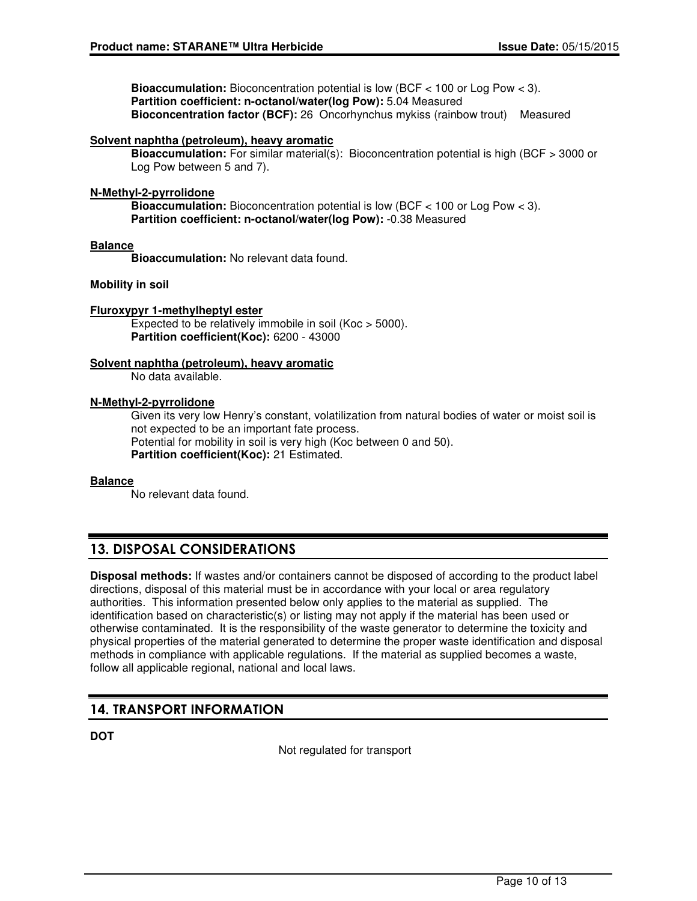**Bioaccumulation:** Bioconcentration potential is low (BCF < 100 or Log Pow < 3). **Partition coefficient: n-octanol/water(log Pow):** 5.04 Measured **Bioconcentration factor (BCF):** 26 Oncorhynchus mykiss (rainbow trout) Measured

### **Solvent naphtha (petroleum), heavy aromatic**

**Bioaccumulation:** For similar material(s): Bioconcentration potential is high (BCF > 3000 or Log Pow between 5 and 7).

### **N-Methyl-2-pyrrolidone**

**Bioaccumulation:** Bioconcentration potential is low (BCF < 100 or Log Pow < 3). **Partition coefficient: n-octanol/water(log Pow):** -0.38 Measured

### **Balance**

**Bioaccumulation:** No relevant data found.

### **Mobility in soil**

### **Fluroxypyr 1-methylheptyl ester**

Expected to be relatively immobile in soil (Koc > 5000). **Partition coefficient(Koc):** 6200 - 43000

### **Solvent naphtha (petroleum), heavy aromatic**

No data available.

### **N-Methyl-2-pyrrolidone**

Given its very low Henry's constant, volatilization from natural bodies of water or moist soil is not expected to be an important fate process. Potential for mobility in soil is very high (Koc between 0 and 50). **Partition coefficient(Koc):** 21 Estimated.

### **Balance**

No relevant data found.

# 13. DISPOSAL CONSIDERATIONS

**Disposal methods:** If wastes and/or containers cannot be disposed of according to the product label directions, disposal of this material must be in accordance with your local or area regulatory authorities. This information presented below only applies to the material as supplied. The identification based on characteristic(s) or listing may not apply if the material has been used or otherwise contaminated. It is the responsibility of the waste generator to determine the toxicity and physical properties of the material generated to determine the proper waste identification and disposal methods in compliance with applicable regulations. If the material as supplied becomes a waste, follow all applicable regional, national and local laws.

# 14. TRANSPORT INFORMATION

**DOT**

Not regulated for transport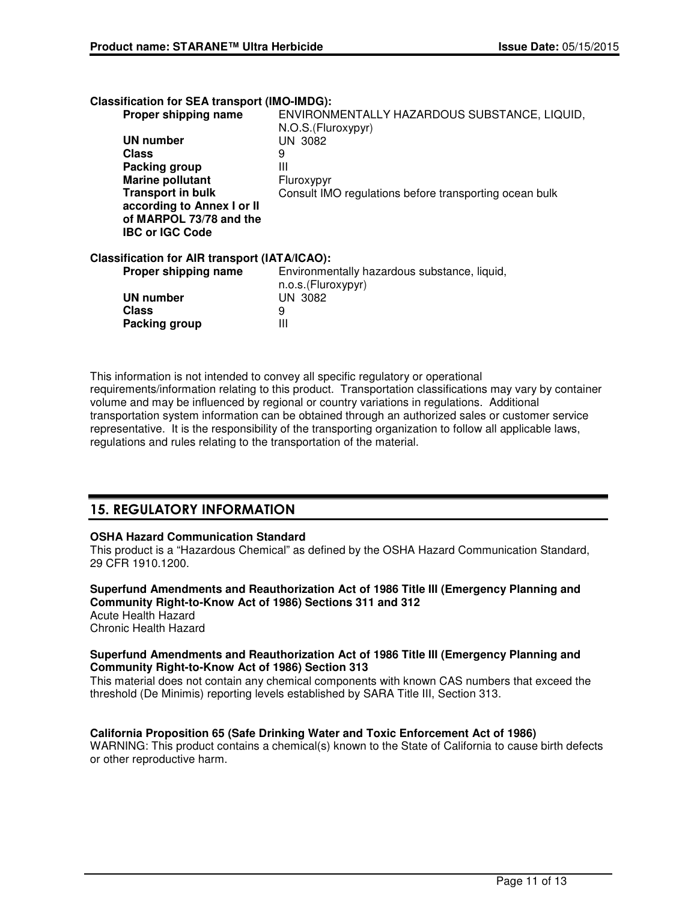| <b>Classification for SEA transport (IMO-IMDG):</b>  |                                                                    |
|------------------------------------------------------|--------------------------------------------------------------------|
| Proper shipping name                                 | ENVIRONMENTALLY HAZARDOUS SUBSTANCE, LIQUID,<br>N.O.S.(Fluroxypyr) |
| <b>UN number</b>                                     | UN 3082                                                            |
| <b>Class</b>                                         | 9                                                                  |
| Packing group                                        | Ш                                                                  |
| <b>Marine pollutant</b>                              | Fluroxypyr                                                         |
| <b>Transport in bulk</b>                             | Consult IMO regulations before transporting ocean bulk             |
| according to Annex I or II                           |                                                                    |
| of MARPOL 73/78 and the<br><b>IBC or IGC Code</b>    |                                                                    |
| <b>Classification for AIR transport (IATA/ICAO):</b> |                                                                    |
| Proper shipping name                                 | Environmentally hazardous substance, liquid,<br>n.o.s.(Fluroxypyr) |
| UN number                                            | UN 3082                                                            |
| Class                                                | 9                                                                  |
| <b>Packing group</b>                                 | Ш                                                                  |
|                                                      |                                                                    |

This information is not intended to convey all specific regulatory or operational requirements/information relating to this product. Transportation classifications may vary by container volume and may be influenced by regional or country variations in regulations. Additional transportation system information can be obtained through an authorized sales or customer service representative. It is the responsibility of the transporting organization to follow all applicable laws, regulations and rules relating to the transportation of the material.

# 15. REGULATORY INFORMATION

### **OSHA Hazard Communication Standard**

This product is a "Hazardous Chemical" as defined by the OSHA Hazard Communication Standard, 29 CFR 1910.1200.

**Superfund Amendments and Reauthorization Act of 1986 Title III (Emergency Planning and Community Right-to-Know Act of 1986) Sections 311 and 312** Acute Health Hazard Chronic Health Hazard

### **Superfund Amendments and Reauthorization Act of 1986 Title III (Emergency Planning and Community Right-to-Know Act of 1986) Section 313**

This material does not contain any chemical components with known CAS numbers that exceed the threshold (De Minimis) reporting levels established by SARA Title III, Section 313.

### **California Proposition 65 (Safe Drinking Water and Toxic Enforcement Act of 1986)**

WARNING: This product contains a chemical(s) known to the State of California to cause birth defects or other reproductive harm.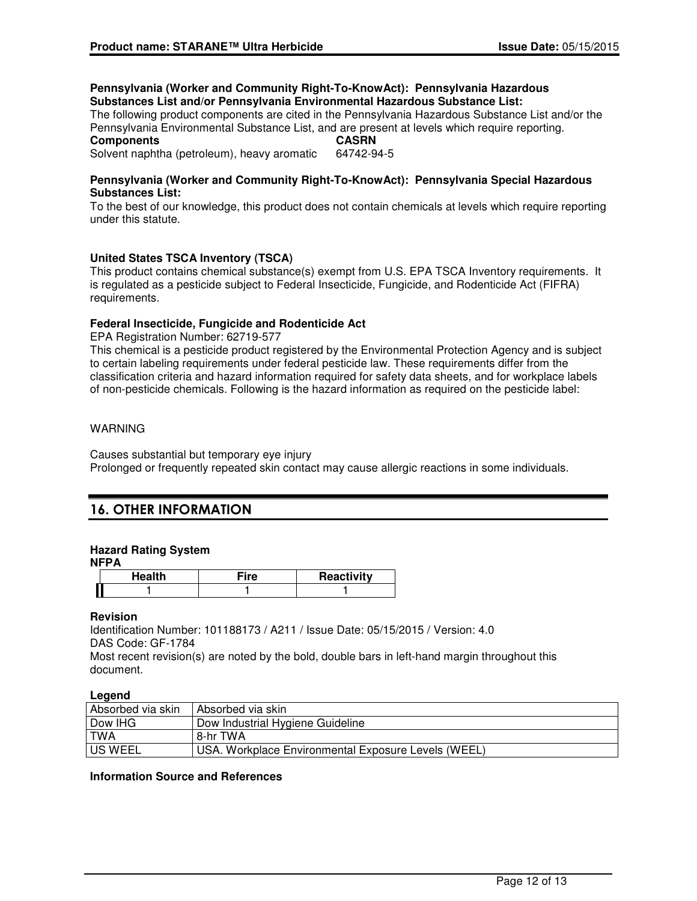### **Pennsylvania (Worker and Community Right-To-KnowAct): Pennsylvania Hazardous Substances List and/or Pennsylvania Environmental Hazardous Substance List:**

The following product components are cited in the Pennsylvania Hazardous Substance List and/or the Pennsylvania Environmental Substance List, and are present at levels which require reporting.

#### **Components CASRN**

Solvent naphtha (petroleum), heavy aromatic 64742-94-5

### **Pennsylvania (Worker and Community Right-To-KnowAct): Pennsylvania Special Hazardous Substances List:**

To the best of our knowledge, this product does not contain chemicals at levels which require reporting under this statute.

# **United States TSCA Inventory (TSCA)**

This product contains chemical substance(s) exempt from U.S. EPA TSCA Inventory requirements. It is regulated as a pesticide subject to Federal Insecticide, Fungicide, and Rodenticide Act (FIFRA) requirements.

### **Federal Insecticide, Fungicide and Rodenticide Act**

EPA Registration Number: 62719-577

This chemical is a pesticide product registered by the Environmental Protection Agency and is subject to certain labeling requirements under federal pesticide law. These requirements differ from the classification criteria and hazard information required for safety data sheets, and for workplace labels of non-pesticide chemicals. Following is the hazard information as required on the pesticide label:

### WARNING

Causes substantial but temporary eye injury Prolonged or frequently repeated skin contact may cause allergic reactions in some individuals.

# 16. OTHER INFORMATION

# **Hazard Rating System**

**NFPA**

| والقار | æ<br>с<br> | <b>Reactivity</b> |
|--------|------------|-------------------|
|        |            |                   |

### **Revision**

Identification Number: 101188173 / A211 / Issue Date: 05/15/2015 / Version: 4.0 DAS Code: GF-1784

Most recent revision(s) are noted by the bold, double bars in left-hand margin throughout this document.

### **Legend**

| Absorbed via skin | Absorbed via skin                                   |
|-------------------|-----------------------------------------------------|
| Dow IHG           | Dow Industrial Hygiene Guideline                    |
| <b>TWA</b>        | 8-hr TWA                                            |
| US WEEL           | USA. Workplace Environmental Exposure Levels (WEEL) |

## **Information Source and References**